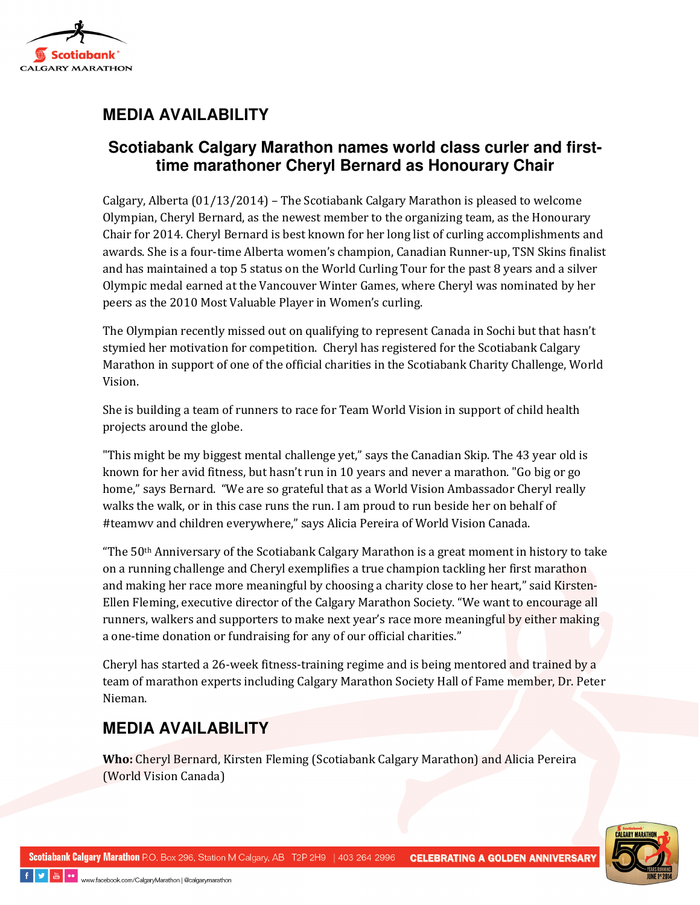

## **MEDIA AVAILABILITY**

### **Scotiabank Calgary Marathon names world class curler and firsttime marathoner Cheryl Bernard as Honourary Chair**

Calgary, Alberta (01/13/2014) – The Scotiabank Calgary Marathon is pleased to welcome Olympian, Cheryl Bernard, as the newest member to the organizing team, as the Honourary Chair for 2014. Cheryl Bernard is best known for her long list of curling accomplishments and awards. She is a four-time Alberta women's champion, Canadian Runner-up, TSN Skins finalist and has maintained a top 5 status on the World Curling Tour for the past 8 years and a silver Olympic medal earned at the Vancouver Winter Games, where Cheryl was nominated by her peers as the 2010 Most Valuable Player in Women's curling.

The Olympian recently missed out on qualifying to represent Canada in Sochi but that hasn't stymied her motivation for competition. Cheryl has registered for the Scotiabank Calgary Marathon in support of one of the official charities in the Scotiabank Charity Challenge, World Vision.

She is building a team of runners to race for Team World Vision in support of child health projects around the globe.

"This might be my biggest mental challenge yet," says the Canadian Skip. The 43 year old is known for her avid fitness, but hasn't run in 10 years and never a marathon. "Go big or go home," says Bernard. "We are so grateful that as a World Vision Ambassador Cheryl really walks the walk, or in this case runs the run. I am proud to run beside her on behalf of #teamwv and children everywhere," says Alicia Pereira of World Vision Canada.

"The  $50<sup>th</sup>$  Anniversary of the Scotiabank Calgary Marathon is a great moment in history to take on a running challenge and Cheryl exemplifies a true champion tackling her first marathon and making her race more meaningful by choosing a charity close to her heart," said Kirsten-Ellen Fleming, executive director of the Calgary Marathon Society. "We want to encourage all runners, walkers and supporters to make next year's race more meaningful by either making a one-time donation or fundraising for any of our official charities."

Cheryl has started a 26-week fitness-training regime and is being mentored and trained by a team of marathon experts including Calgary Marathon Society Hall of Fame member, Dr. Peter Nieman.

# **MEDIA AVAILABILITY**

Who: Cheryl Bernard, Kirsten Fleming (Scotiabank Calgary Marathon) and Alicia Pereira (World Vision Canada)